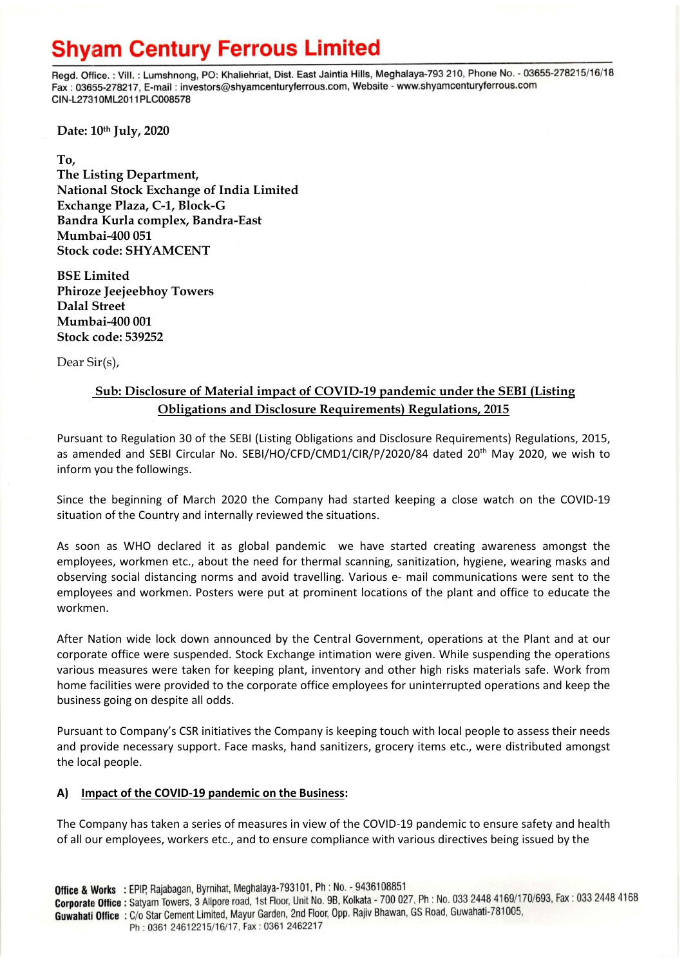Regd. Office.: Vill.: Lumshnong, PO: Khaliehriat, Dist. East Jaintia Hills, Meghalaya-793 210, Phone No. - 03655-278215/16/18 Fax: 03655-278217, E-mail: investors@shyamcenturyferrous.com, Website - www.shyamcenturyferrous.com CIN-L27310ML2011PLC008578

**Date: 10th July, 2020**

**To, The Listing Department, National Stock Exchange of India Limited Exchange Plaza, C-1, Block-G Bandra Kurla complex, Bandra-East Mumbai-400 051 Stock code: SHYAMCENT**

**BSE Limited Phiroze Jeejeebhoy Towers Dalal Street Mumbai-400 001 Stock code: 539252**

Dear Sir(s),

## **Sub: Disclosure of Material impact of COVID-19 pandemic under the SEBI (Listing Obligations and Disclosure Requirements) Regulations, 2015**

Pursuant to Regulation 30 of the SEBI (Listing Obligations and Disclosure Requirements) Regulations, 2015, as amended and SEBI Circular No. SEBI/HO/CFD/CMD1/CIR/P/2020/84 dated 20<sup>th</sup> May 2020, we wish to inform you the followings.

Since the beginning of March 2020 the Company had started keeping a close watch on the COVID-19 situation of the Country and internally reviewed the situations.

As soon as WHO declared it as global pandemic we have started creating awareness amongst the employees, workmen etc., about the need for thermal scanning, sanitization, hygiene, wearing masks and observing social distancing norms and avoid travelling. Various e- mail communications were sent to the employees and workmen. Posters were put at prominent locations of the plant and office to educate the workmen.

After Nation wide lock down announced by the Central Government, operations at the Plant and at our corporate office were suspended. Stock Exchange intimation were given. While suspending the operations various measures were taken for keeping plant, inventory and other high risks materials safe. Work from home facilities were provided to the corporate office employees for uninterrupted operations and keep the business going on despite all odds.

Pursuant to Company's CSR initiatives the Company is keeping touch with local people to assess their needs and provide necessary support. Face masks, hand sanitizers, grocery items etc., were distributed amongst the local people.

## **A) Impact of the COVID-19 pandemic on the Business:**

The Company has taken a series of measures in view of the COVID-19 pandemic to ensure safety and health of all our employees, workers etc., and to ensure compliance with various directives being issued by the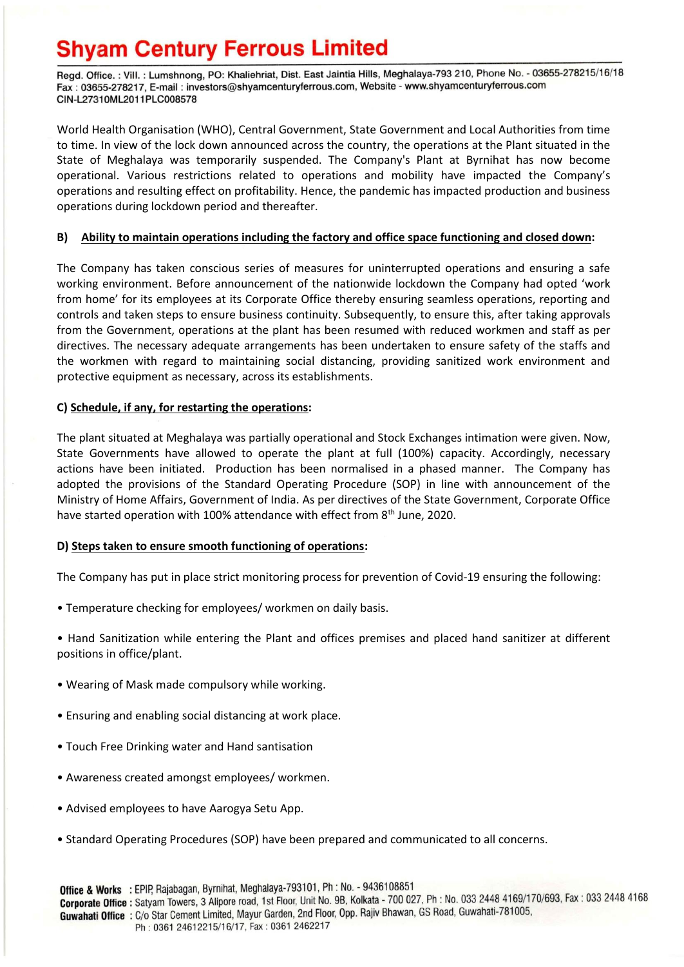Regd. Office.: Vill.: Lumshnong, PO: Khaliehriat, Dist. East Jaintia Hills, Meghalaya-793 210, Phone No. - 03655-278215/16/18 Fax: 03655-278217, E-mail: investors@shyamcenturyferrous.com, Website - www.shyamcenturyferrous.com CIN-L27310ML2011PLC008578

World Health Organisation (WHO), Central Government, State Government and Local Authorities from time to time. In view of the lock down announced across the country, the operations at the Plant situated in the State of Meghalaya was temporarily suspended. The Company's Plant at Byrnihat has now become operational. Various restrictions related to operations and mobility have impacted the Company's operations and resulting effect on profitability. Hence, the pandemic has impacted production and business operations during lockdown period and thereafter.

## **B) Ability to maintain operations including the factory and office space functioning and closed down:**

The Company has taken conscious series of measures for uninterrupted operations and ensuring a safe working environment. Before announcement of the nationwide lockdown the Company had opted 'work from home' for its employees at its Corporate Office thereby ensuring seamless operations, reporting and controls and taken steps to ensure business continuity. Subsequently, to ensure this, after taking approvals from the Government, operations at the plant has been resumed with reduced workmen and staff as per directives. The necessary adequate arrangements has been undertaken to ensure safety of the staffs and the workmen with regard to maintaining social distancing, providing sanitized work environment and protective equipment as necessary, across its establishments.

## **C) Schedule, if any, for restarting the operations:**

The plant situated at Meghalaya was partially operational and Stock Exchanges intimation were given. Now, State Governments have allowed to operate the plant at full (100%) capacity. Accordingly, necessary actions have been initiated. Production has been normalised in a phased manner. The Company has adopted the provisions of the Standard Operating Procedure (SOP) in line with announcement of the Ministry of Home Affairs, Government of India. As per directives of the State Government, Corporate Office have started operation with 100% attendance with effect from 8<sup>th</sup> June, 2020.

## **D) Steps taken to ensure smooth functioning of operations:**

The Company has put in place strict monitoring process for prevention of Covid-19 ensuring the following:

• Temperature checking for employees/ workmen on daily basis.

• Hand Sanitization while entering the Plant and offices premises and placed hand sanitizer at different positions in office/plant.

- Wearing of Mask made compulsory while working.
- Ensuring and enabling social distancing at work place.
- Touch Free Drinking water and Hand santisation
- Awareness created amongst employees/ workmen.
- Advised employees to have Aarogya Setu App.
- Standard Operating Procedures (SOP) have been prepared and communicated to all concerns.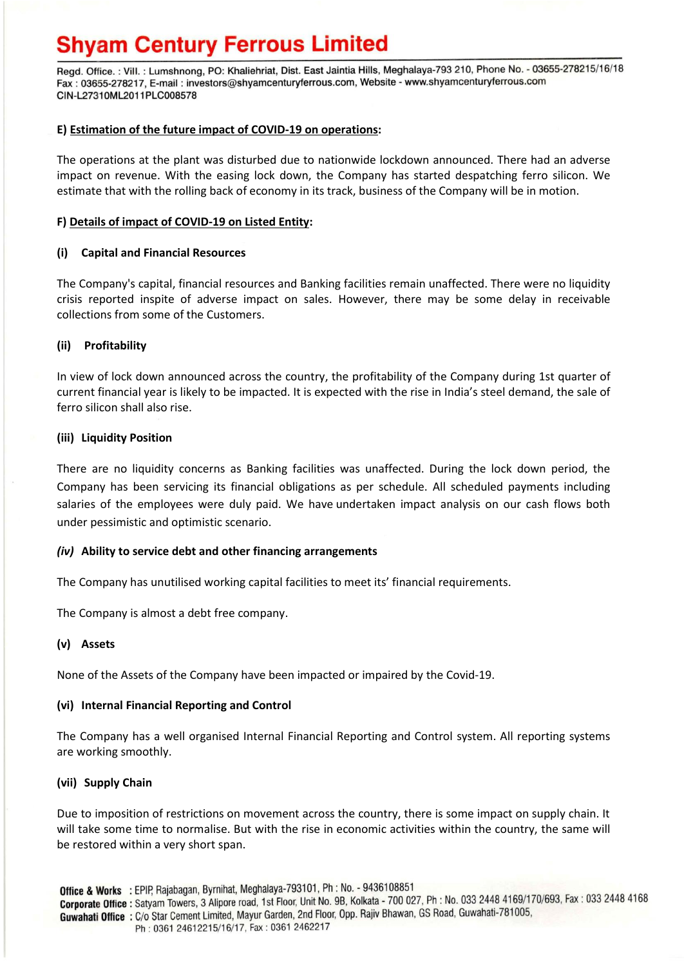Regd. Office.: Vill.: Lumshnong, PO: Khaliehriat, Dist. East Jaintia Hills, Meghalaya-793 210, Phone No. - 03655-278215/16/18 Fax: 03655-278217, E-mail: investors@shyamcenturyferrous.com, Website - www.shyamcenturyferrous.com CIN-L27310ML2011PLC008578

## **E) Estimation of the future impact of COVID-19 on operations:**

The operations at the plant was disturbed due to nationwide lockdown announced. There had an adverse impact on revenue. With the easing lock down, the Company has started despatching ferro silicon. We estimate that with the rolling back of economy in its track, business of the Company will be in motion.

### **F) Details of impact of COVID-19 on Listed Entity:**

## **(i) Capital and Financial Resources**

The Company's capital, financial resources and Banking facilities remain unaffected. There were no liquidity crisis reported inspite of adverse impact on sales. However, there may be some delay in receivable collections from some of the Customers.

## **(ii) Profitability**

In view of lock down announced across the country, the profitability of the Company during 1st quarter of current financial year is likely to be impacted. It is expected with the rise in India's steel demand, the sale of ferro silicon shall also rise.

## **(iii) Liquidity Position**

There are no liquidity concerns as Banking facilities was unaffected. During the lock down period, the Company has been servicing its financial obligations as per schedule. All scheduled payments including salaries of the employees were duly paid. We have undertaken impact analysis on our cash flows both under pessimistic and optimistic scenario.

#### *(iv)* **Ability to service debt and other financing arrangements**

The Company has unutilised working capital facilities to meet its' financial requirements.

The Company is almost a debt free company.

#### **(v) Assets**

None of the Assets of the Company have been impacted or impaired by the Covid-19.

#### **(vi) Internal Financial Reporting and Control**

The Company has a well organised Internal Financial Reporting and Control system. All reporting systems are working smoothly.

#### **(vii) Supply Chain**

Due to imposition of restrictions on movement across the country, there is some impact on supply chain. It will take some time to normalise. But with the rise in economic activities within the country, the same will be restored within a very short span.